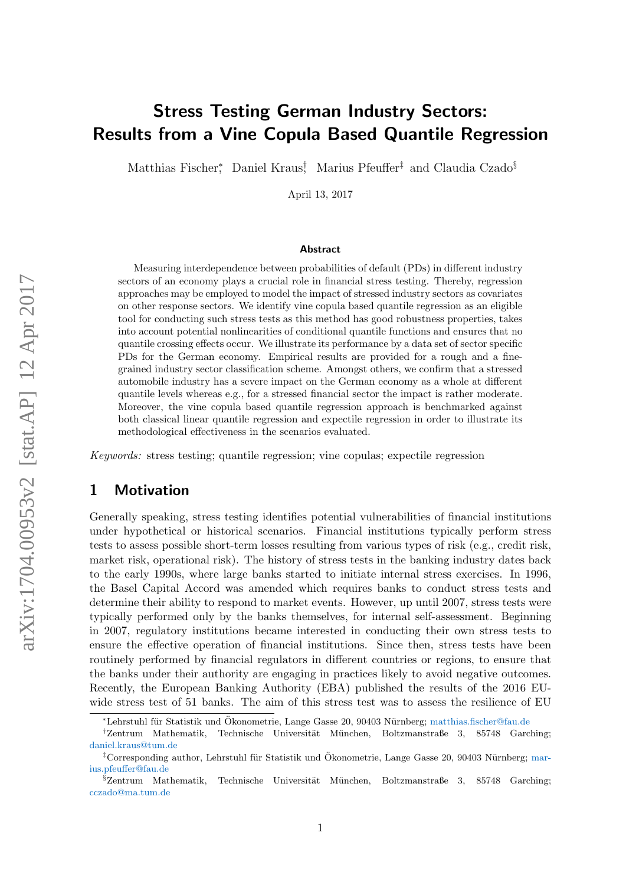# Stress Testing German Industry Sectors: Results from a Vine Copula Based Quantile Regression

Matthias Fischer<sup>\*</sup>, Daniel Kraus<sup>†</sup>, Marius Pfeuffer<sup>‡</sup> and Claudia Czado<sup>§</sup>

April 13, 2017

#### Abstract

Measuring interdependence between probabilities of default (PDs) in different industry sectors of an economy plays a crucial role in financial stress testing. Thereby, regression approaches may be employed to model the impact of stressed industry sectors as covariates on other response sectors. We identify vine copula based quantile regression as an eligible tool for conducting such stress tests as this method has good robustness properties, takes into account potential nonlinearities of conditional quantile functions and ensures that no quantile crossing effects occur. We illustrate its performance by a data set of sector specific PDs for the German economy. Empirical results are provided for a rough and a finegrained industry sector classification scheme. Amongst others, we confirm that a stressed automobile industry has a severe impact on the German economy as a whole at different quantile levels whereas e.g., for a stressed financial sector the impact is rather moderate. Moreover, the vine copula based quantile regression approach is benchmarked against both classical linear quantile regression and expectile regression in order to illustrate its methodological effectiveness in the scenarios evaluated.

Keywords: stress testing; quantile regression; vine copulas; expectile regression

# 1 Motivation

Generally speaking, stress testing identifies potential vulnerabilities of financial institutions under hypothetical or historical scenarios. Financial institutions typically perform stress tests to assess possible short-term losses resulting from various types of risk (e.g., credit risk, market risk, operational risk). The history of stress tests in the banking industry dates back to the early 1990s, where large banks started to initiate internal stress exercises. In 1996, the Basel Capital Accord was amended which requires banks to conduct stress tests and determine their ability to respond to market events. However, up until 2007, stress tests were typically performed only by the banks themselves, for internal self-assessment. Beginning in 2007, regulatory institutions became interested in conducting their own stress tests to ensure the effective operation of financial institutions. Since then, stress tests have been routinely performed by financial regulators in different countries or regions, to ensure that the banks under their authority are engaging in practices likely to avoid negative outcomes. Recently, the European Banking Authority (EBA) published the results of the 2016 EUwide stress test of 51 banks. The aim of this stress test was to assess the resilience of EU

<sup>\*</sup>Lehrstuhl für Statistik und Ökonometrie, Lange Gasse 20, 90403 Nürnberg; [matthias.fischer@fau.de](mailto:matthias.fischer@fau.de)

<sup>&</sup>lt;sup>†</sup>Zentrum Mathematik, Technische Universität München, Boltzmanstraße 3, 85748 Garching; [daniel.kraus@tum.de](mailto:daniel.kraus@tum.de)

<sup>&</sup>lt;sup>‡</sup>Corresponding author, Lehrstuhl für Statistik und Ökonometrie, Lange Gasse 20, 90403 Nürnberg; [mar](mailto:marius.pfeuffer@fau.de)[ius.pfeuffer@fau.de](mailto:marius.pfeuffer@fau.de)

 $\S$ Zentrum Mathematik, Technische Universität München, Boltzmanstraße 3, 85748 Garching; [cczado@ma.tum.de](mailto:cczado@ma.tum.de)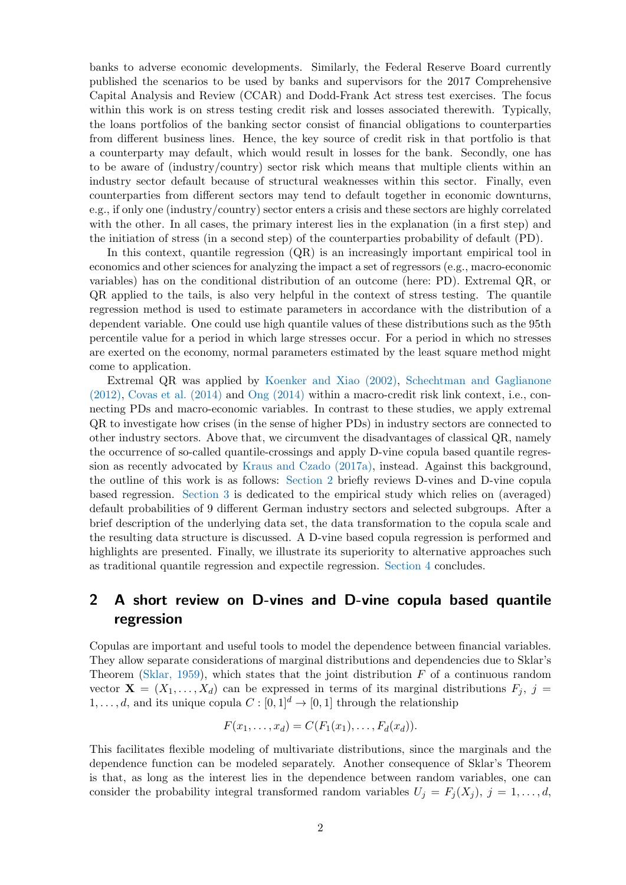banks to adverse economic developments. Similarly, the Federal Reserve Board currently published the scenarios to be used by banks and supervisors for the 2017 Comprehensive Capital Analysis and Review (CCAR) and Dodd-Frank Act stress test exercises. The focus within this work is on stress testing credit risk and losses associated therewith. Typically, the loans portfolios of the banking sector consist of financial obligations to counterparties from different business lines. Hence, the key source of credit risk in that portfolio is that a counterparty may default, which would result in losses for the bank. Secondly, one has to be aware of (industry/country) sector risk which means that multiple clients within an industry sector default because of structural weaknesses within this sector. Finally, even counterparties from different sectors may tend to default together in economic downturns, e.g., if only one (industry/country) sector enters a crisis and these sectors are highly correlated with the other. In all cases, the primary interest lies in the explanation (in a first step) and the initiation of stress (in a second step) of the counterparties probability of default (PD).

In this context, quantile regression  $(QR)$  is an increasingly important empirical tool in economics and other sciences for analyzing the impact a set of regressors (e.g., macro-economic variables) has on the conditional distribution of an outcome (here: PD). Extremal QR, or QR applied to the tails, is also very helpful in the context of stress testing. The quantile regression method is used to estimate parameters in accordance with the distribution of a dependent variable. One could use high quantile values of these distributions such as the 95th percentile value for a period in which large stresses occur. For a period in which no stresses are exerted on the economy, normal parameters estimated by the least square method might come to application.

Extremal QR was applied by [Koenker and Xiao \(2002\),](#page-10-0) [Schechtman and Gaglianone](#page-11-0) [\(2012\),](#page-11-0) [Covas et al. \(2014\)](#page-10-1) and [Ong \(2014\)](#page-11-1) within a macro-credit risk link context, i.e., connecting PDs and macro-economic variables. In contrast to these studies, we apply extremal QR to investigate how crises (in the sense of higher PDs) in industry sectors are connected to other industry sectors. Above that, we circumvent the disadvantages of classical QR, namely the occurrence of so-called quantile-crossings and apply D-vine copula based quantile regression as recently advocated by [Kraus and Czado \(2017a\),](#page-10-2) instead. Against this background, the outline of this work is as follows: [Section 2](#page-1-0) briefly reviews D-vines and D-vine copula based regression. [Section 3](#page-3-0) is dedicated to the empirical study which relies on (averaged) default probabilities of 9 different German industry sectors and selected subgroups. After a brief description of the underlying data set, the data transformation to the copula scale and the resulting data structure is discussed. A D-vine based copula regression is performed and highlights are presented. Finally, we illustrate its superiority to alternative approaches such as traditional quantile regression and expectile regression. [Section 4](#page-8-0) concludes.

# <span id="page-1-0"></span>2 A short review on D-vines and D-vine copula based quantile regression

Copulas are important and useful tools to model the dependence between financial variables. They allow separate considerations of marginal distributions and dependencies due to Sklar's Theorem [\(Sklar, 1959\)](#page-11-2), which states that the joint distribution  $F$  of a continuous random vector  $\mathbf{X} = (X_1, \ldots, X_d)$  can be expressed in terms of its marginal distributions  $F_i$ , j =  $1, \ldots, d$ , and its unique copula  $C : [0, 1]^d \to [0, 1]$  through the relationship

$$
F(x_1,\ldots,x_d)=C(F_1(x_1),\ldots,F_d(x_d)).
$$

This facilitates flexible modeling of multivariate distributions, since the marginals and the dependence function can be modeled separately. Another consequence of Sklar's Theorem is that, as long as the interest lies in the dependence between random variables, one can consider the probability integral transformed random variables  $U_j = F_j(X_j)$ ,  $j = 1, \ldots, d$ ,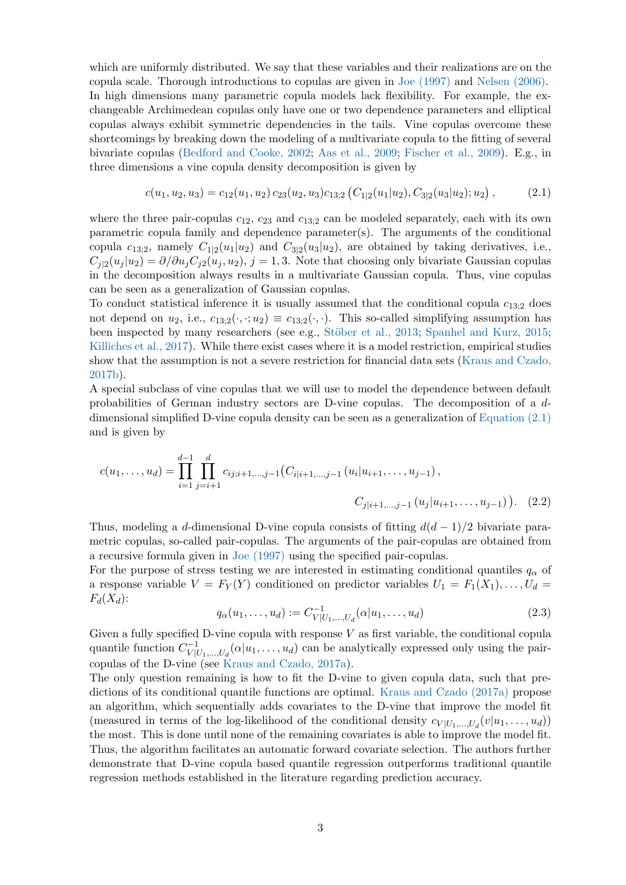which are uniformly distributed. We say that these variables and their realizations are on the copula scale. Thorough introductions to copulas are given in [Joe \(1997\)](#page-10-3) and [Nelsen \(2006\).](#page-11-3) In high dimensions many parametric copula models lack flexibility. For example, the exchangeable Archimedean copulas only have one or two dependence parameters and elliptical copulas always exhibit symmetric dependencies in the tails. Vine copulas overcome these shortcomings by breaking down the modeling of a multivariate copula to the fitting of several bivariate copulas [\(Bedford and Cooke, 2002;](#page-10-4) [Aas et al., 2009;](#page-10-5) [Fischer et al., 2009\)](#page-10-6). E.g., in three dimensions a vine copula density decomposition is given by

<span id="page-2-0"></span>
$$
c(u_1, u_2, u_3) = c_{12}(u_1, u_2) c_{23}(u_2, u_3) c_{13;2} (C_{1|2}(u_1|u_2), C_{3|2}(u_3|u_2); u_2), \qquad (2.1)
$$

where the three pair-copulas  $c_{12}$ ,  $c_{23}$  and  $c_{13;2}$  can be modeled separately, each with its own parametric copula family and dependence parameter(s). The arguments of the conditional copula  $c_{13;2}$ , namely  $C_{1|2}(u_1|u_2)$  and  $C_{3|2}(u_3|u_2)$ , are obtained by taking derivatives, i.e.,  $C_{j|2}(u_j|u_2) = \partial/\partial u_j C_{j2}(u_j, u_2)$ ,  $j = 1, 3$ . Note that choosing only bivariate Gaussian copulas in the decomposition always results in a multivariate Gaussian copula. Thus, vine copulas can be seen as a generalization of Gaussian copulas.

To conduct statistical inference it is usually assumed that the conditional copula  $c_{13;2}$  does not depend on  $u_2$ , i.e.,  $c_{13;2}(\cdot, \cdot; u_2) \equiv c_{13;2}(\cdot, \cdot)$ . This so-called simplifying assumption has been inspected by many researchers (see e.g., Stöber et al., 2013; [Spanhel and Kurz, 2015;](#page-11-5) [Killiches et al., 2017\)](#page-10-7). While there exist cases where it is a model restriction, empirical studies show that the assumption is not a severe restriction for financial data sets [\(Kraus and Czado,](#page-10-8) [2017b\)](#page-10-8).

A special subclass of vine copulas that we will use to model the dependence between default probabilities of German industry sectors are D-vine copulas. The decomposition of a ddimensional simplified D-vine copula density can be seen as a generalization of [Equation \(2.1\)](#page-2-0) and is given by

$$
c(u_1, \ldots, u_d) = \prod_{i=1}^{d-1} \prod_{j=i+1}^d c_{ij;i+1,\ldots,j-1} (C_{i|i+1,\ldots,j-1} (u_i | u_{i+1}, \ldots, u_{j-1}),
$$
  

$$
C_{j|i+1,\ldots,j-1} (u_j | u_{i+1}, \ldots, u_{j-1})).
$$
 (2.2)

Thus, modeling a d-dimensional D-vine copula consists of fitting  $d(d-1)/2$  bivariate parametric copulas, so-called pair-copulas. The arguments of the pair-copulas are obtained from a recursive formula given in [Joe \(1997\)](#page-10-3) using the specified pair-copulas.

For the purpose of stress testing we are interested in estimating conditional quantiles  $q_{\alpha}$  of a response variable  $V = F_Y(Y)$  conditioned on predictor variables  $U_1 = F_1(X_1), \ldots, U_d =$  $F_d(X_d)$ :

$$
q_{\alpha}(u_1, \ldots, u_d) := C_{V|U_1, \ldots, U_d}^{-1}(\alpha|u_1, \ldots, u_d)
$$
\n(2.3)

Given a fully specified D-vine copula with response  $V$  as first variable, the conditional copula quantile function  $C_{V|l}^{-1}$  $V | U_1,...,U_d}(\alpha | u_1,...,u_d)$  can be analytically expressed only using the paircopulas of the D-vine (see [Kraus and Czado, 2017a\)](#page-10-2).

The only question remaining is how to fit the D-vine to given copula data, such that predictions of its conditional quantile functions are optimal. [Kraus and Czado \(2017a\)](#page-10-2) propose an algorithm, which sequentially adds covariates to the D-vine that improve the model fit (measured in terms of the log-likelihood of the conditional density  $c_{V|U_1,...,U_d}(v|u_1,...,u_d)$ ) the most. This is done until none of the remaining covariates is able to improve the model fit. Thus, the algorithm facilitates an automatic forward covariate selection. The authors further demonstrate that D-vine copula based quantile regression outperforms traditional quantile regression methods established in the literature regarding prediction accuracy.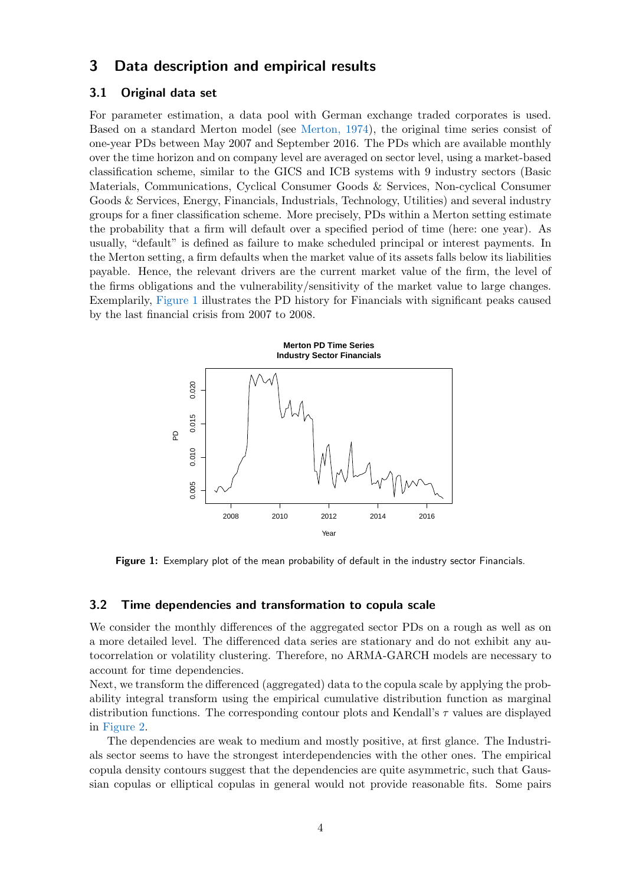# <span id="page-3-0"></span>3 Data description and empirical results

### 3.1 Original data set

For parameter estimation, a data pool with German exchange traded corporates is used. Based on a standard Merton model (see [Merton, 1974\)](#page-10-9), the original time series consist of one-year PDs between May 2007 and September 2016. The PDs which are available monthly over the time horizon and on company level are averaged on sector level, using a market-based classification scheme, similar to the GICS and ICB systems with 9 industry sectors (Basic Materials, Communications, Cyclical Consumer Goods & Services, Non-cyclical Consumer Goods & Services, Energy, Financials, Industrials, Technology, Utilities) and several industry groups for a finer classification scheme. More precisely, PDs within a Merton setting estimate the probability that a firm will default over a specified period of time (here: one year). As usually, "default" is defined as failure to make scheduled principal or interest payments. In the Merton setting, a firm defaults when the market value of its assets falls below its liabilities payable. Hence, the relevant drivers are the current market value of the firm, the level of the firms obligations and the vulnerability/sensitivity of the market value to large changes. Exemplarily, [Figure 1](#page-3-1) illustrates the PD history for Financials with significant peaks caused by the last financial crisis from 2007 to 2008.

<span id="page-3-1"></span>

Figure 1: Exemplary plot of the mean probability of default in the industry sector Financials.

## 3.2 Time dependencies and transformation to copula scale

We consider the monthly differences of the aggregated sector PDs on a rough as well as on a more detailed level. The differenced data series are stationary and do not exhibit any autocorrelation or volatility clustering. Therefore, no ARMA-GARCH models are necessary to account for time dependencies.

Next, we transform the differenced (aggregated) data to the copula scale by applying the probability integral transform using the empirical cumulative distribution function as marginal distribution functions. The corresponding contour plots and Kendall's  $\tau$  values are displayed in [Figure 2.](#page-4-0)

The dependencies are weak to medium and mostly positive, at first glance. The Industrials sector seems to have the strongest interdependencies with the other ones. The empirical copula density contours suggest that the dependencies are quite asymmetric, such that Gaussian copulas or elliptical copulas in general would not provide reasonable fits. Some pairs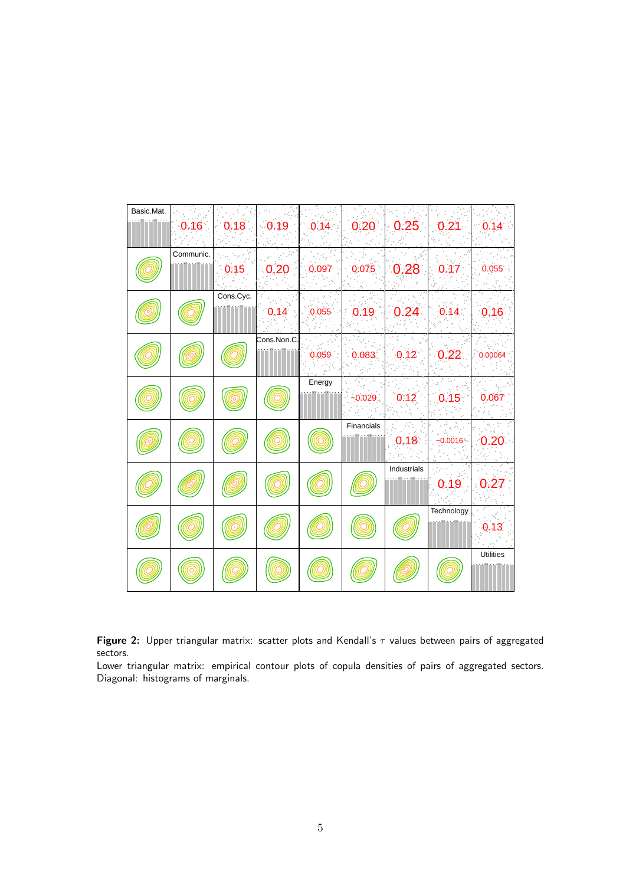<span id="page-4-0"></span>

| Basic.Mat. |           |           |             |        |            |             |            |                  |
|------------|-----------|-----------|-------------|--------|------------|-------------|------------|------------------|
|            | 0.16      |           | $0.18$ 0.19 | 0.14   | 0.20       | 0.25        | 0.21       | 0.14             |
|            |           |           |             |        |            |             |            |                  |
|            | Communic. |           |             |        |            |             |            |                  |
|            |           | 0.15      | 0.20        | 0.097  | 0.075      | 0.28        | 0.17       | 0.055            |
|            |           | Cons.Cyc. |             |        |            |             |            |                  |
|            |           |           | 0.14        | 0.055  | 0.19       | 0.24        | 0.14       | 0.16             |
|            |           |           | Cons.Non.C. |        |            |             |            |                  |
|            |           |           |             | 0.059  | 0.083      | 0.12        | 0.22       | 0.00064          |
|            |           |           |             | Energy |            |             |            |                  |
|            |           |           |             |        | $-0.029$   | 0.12        | 0.15       | 0.067            |
|            |           |           |             |        |            |             |            |                  |
|            |           |           |             |        | Financials |             |            |                  |
|            |           |           |             |        |            | 0.18        | $-0.0016$  | 0.20             |
|            |           |           |             |        |            | Industrials |            |                  |
|            |           |           |             |        |            |             | 0.19       | 0.27             |
|            |           |           |             |        |            |             |            |                  |
|            |           |           |             |        |            |             | Technology |                  |
|            |           |           |             |        |            |             |            | 0.13             |
|            |           |           |             |        |            |             |            | <b>Utilities</b> |
|            |           |           |             |        |            |             |            |                  |
|            |           |           |             |        |            |             |            |                  |

Figure 2: Upper triangular matrix: scatter plots and Kendall's  $\tau$  values between pairs of aggregated sectors.

Lower triangular matrix: empirical contour plots of copula densities of pairs of aggregated sectors. Diagonal: histograms of marginals.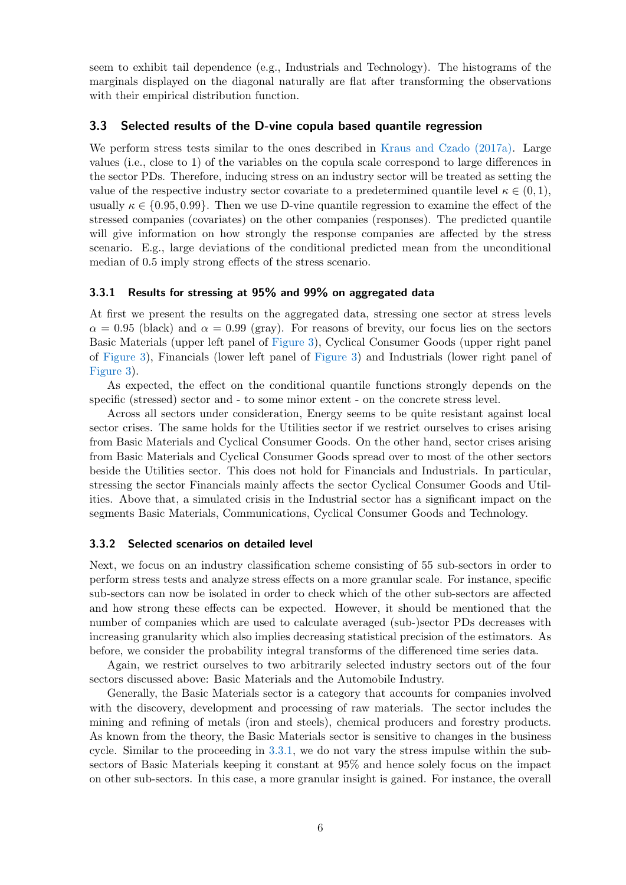seem to exhibit tail dependence (e.g., Industrials and Technology). The histograms of the marginals displayed on the diagonal naturally are flat after transforming the observations with their empirical distribution function.

#### 3.3 Selected results of the D-vine copula based quantile regression

We perform stress tests similar to the ones described in [Kraus and Czado \(2017a\).](#page-10-2) Large values (i.e., close to 1) of the variables on the copula scale correspond to large differences in the sector PDs. Therefore, inducing stress on an industry sector will be treated as setting the value of the respective industry sector covariate to a predetermined quantile level  $\kappa \in (0,1)$ , usually  $\kappa \in \{0.95, 0.99\}$ . Then we use D-vine quantile regression to examine the effect of the stressed companies (covariates) on the other companies (responses). The predicted quantile will give information on how strongly the response companies are affected by the stress scenario. E.g., large deviations of the conditional predicted mean from the unconditional median of 0.5 imply strong effects of the stress scenario.

# <span id="page-5-0"></span>3.3.1 Results for stressing at 95% and 99% on aggregated data

At first we present the results on the aggregated data, stressing one sector at stress levels  $\alpha = 0.95$  (black) and  $\alpha = 0.99$  (gray). For reasons of brevity, our focus lies on the sectors Basic Materials (upper left panel of [Figure 3\)](#page-6-0), Cyclical Consumer Goods (upper right panel of [Figure 3\)](#page-6-0), Financials (lower left panel of [Figure 3\)](#page-6-0) and Industrials (lower right panel of [Figure 3\)](#page-6-0).

As expected, the effect on the conditional quantile functions strongly depends on the specific (stressed) sector and - to some minor extent - on the concrete stress level.

Across all sectors under consideration, Energy seems to be quite resistant against local sector crises. The same holds for the Utilities sector if we restrict ourselves to crises arising from Basic Materials and Cyclical Consumer Goods. On the other hand, sector crises arising from Basic Materials and Cyclical Consumer Goods spread over to most of the other sectors beside the Utilities sector. This does not hold for Financials and Industrials. In particular, stressing the sector Financials mainly affects the sector Cyclical Consumer Goods and Utilities. Above that, a simulated crisis in the Industrial sector has a significant impact on the segments Basic Materials, Communications, Cyclical Consumer Goods and Technology.

#### 3.3.2 Selected scenarios on detailed level

Next, we focus on an industry classification scheme consisting of 55 sub-sectors in order to perform stress tests and analyze stress effects on a more granular scale. For instance, specific sub-sectors can now be isolated in order to check which of the other sub-sectors are affected and how strong these effects can be expected. However, it should be mentioned that the number of companies which are used to calculate averaged (sub-)sector PDs decreases with increasing granularity which also implies decreasing statistical precision of the estimators. As before, we consider the probability integral transforms of the differenced time series data.

Again, we restrict ourselves to two arbitrarily selected industry sectors out of the four sectors discussed above: Basic Materials and the Automobile Industry.

Generally, the Basic Materials sector is a category that accounts for companies involved with the discovery, development and processing of raw materials. The sector includes the mining and refining of metals (iron and steels), chemical producers and forestry products. As known from the theory, the Basic Materials sector is sensitive to changes in the business cycle. Similar to the proceeding in [3.3.1,](#page-5-0) we do not vary the stress impulse within the subsectors of Basic Materials keeping it constant at 95% and hence solely focus on the impact on other sub-sectors. In this case, a more granular insight is gained. For instance, the overall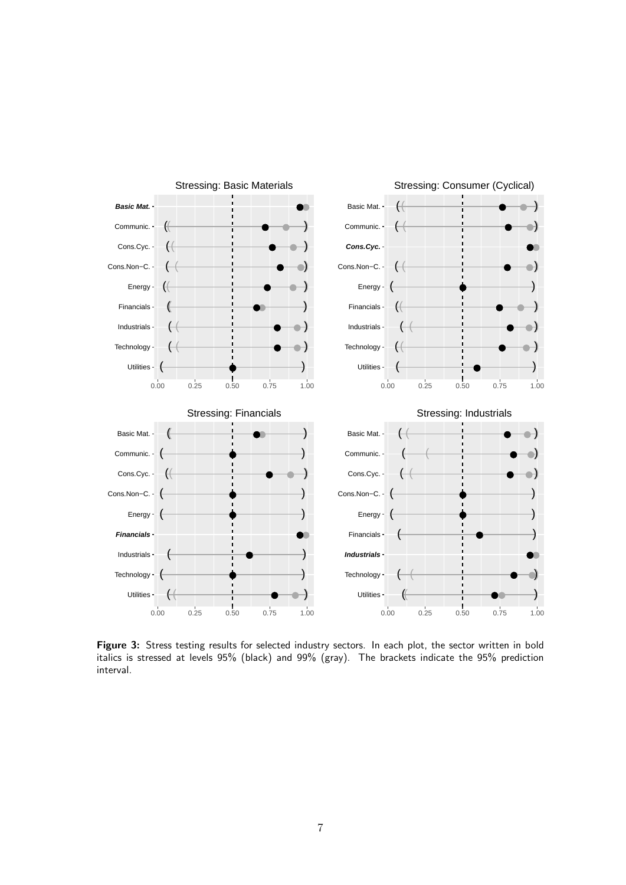<span id="page-6-0"></span>

Figure 3: Stress testing results for selected industry sectors. In each plot, the sector written in bold italics is stressed at levels 95% (black) and 99% (gray). The brackets indicate the 95% prediction interval.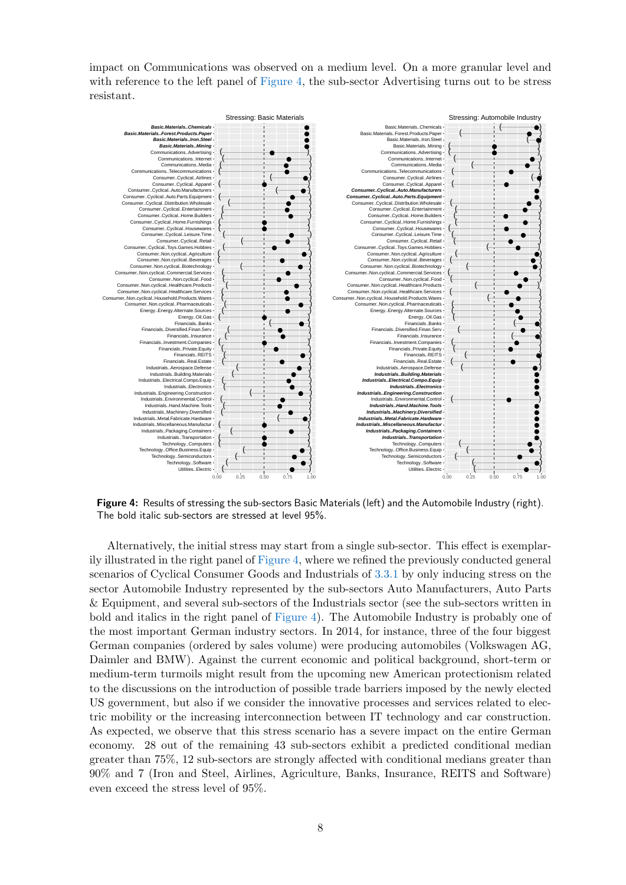impact on Communications was observed on a medium level. On a more granular level and with reference to the left panel of [Figure 4,](#page-7-0) the sub-sector Advertising turns out to be stress resistant.

<span id="page-7-0"></span>

Figure 4: Results of stressing the sub-sectors Basic Materials (left) and the Automobile Industry (right). The bold italic sub-sectors are stressed at level 95%.

Alternatively, the initial stress may start from a single sub-sector. This effect is exemplarily illustrated in the right panel of [Figure 4,](#page-7-0) where we refined the previously conducted general scenarios of Cyclical Consumer Goods and Industrials of [3.3.1](#page-5-0) by only inducing stress on the sector Automobile Industry represented by the sub-sectors Auto Manufacturers, Auto Parts & Equipment, and several sub-sectors of the Industrials sector (see the sub-sectors written in bold and italics in the right panel of [Figure 4\)](#page-7-0). The Automobile Industry is probably one of the most important German industry sectors. In 2014, for instance, three of the four biggest German companies (ordered by sales volume) were producing automobiles (Volkswagen AG, Daimler and BMW). Against the current economic and political background, short-term or medium-term turmoils might result from the upcoming new American protectionism related to the discussions on the introduction of possible trade barriers imposed by the newly elected US government, but also if we consider the innovative processes and services related to electric mobility or the increasing interconnection between IT technology and car construction. As expected, we observe that this stress scenario has a severe impact on the entire German economy. 28 out of the remaining 43 sub-sectors exhibit a predicted conditional median greater than 75%, 12 sub-sectors are strongly affected with conditional medians greater than 90% and 7 (Iron and Steel, Airlines, Agriculture, Banks, Insurance, REITS and Software) even exceed the stress level of 95%.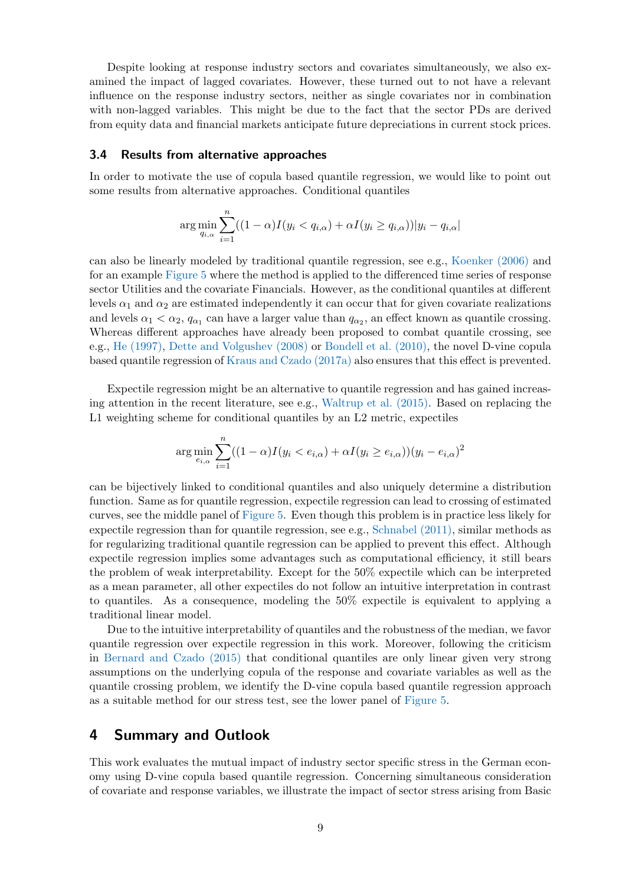Despite looking at response industry sectors and covariates simultaneously, we also examined the impact of lagged covariates. However, these turned out to not have a relevant influence on the response industry sectors, neither as single covariates nor in combination with non-lagged variables. This might be due to the fact that the sector PDs are derived from equity data and financial markets anticipate future depreciations in current stock prices.

#### 3.4 Results from alternative approaches

In order to motivate the use of copula based quantile regression, we would like to point out some results from alternative approaches. Conditional quantiles

$$
\arg\min_{q_{i,\alpha}} \sum_{i=1}^n ((1-\alpha)I(y_i < q_{i,\alpha}) + \alpha I(y_i \ge q_{i,\alpha}))|y_i - q_{i,\alpha}|
$$

can also be linearly modeled by traditional quantile regression, see e.g., [Koenker \(2006\)](#page-10-10) and for an example [Figure 5](#page-9-0) where the method is applied to the differenced time series of response sector Utilities and the covariate Financials. However, as the conditional quantiles at different levels  $\alpha_1$  and  $\alpha_2$  are estimated independently it can occur that for given covariate realizations and levels  $\alpha_1 < \alpha_2$ ,  $q_{\alpha_1}$  can have a larger value than  $q_{\alpha_2}$ , an effect known as quantile crossing. Whereas different approaches have already been proposed to combat quantile crossing, see e.g., [He \(1997\),](#page-10-11) [Dette and Volgushev \(2008\)](#page-10-12) or [Bondell et al. \(2010\),](#page-10-13) the novel D-vine copula based quantile regression of [Kraus and Czado \(2017a\)](#page-10-2) also ensures that this effect is prevented.

Expectile regression might be an alternative to quantile regression and has gained increasing attention in the recent literature, see e.g., [Waltrup et al. \(2015\).](#page-11-6) Based on replacing the L1 weighting scheme for conditional quantiles by an L2 metric, expectiles

$$
\arg\min_{e_{i,\alpha}} \sum_{i=1}^n ((1-\alpha)I(y_i < e_{i,\alpha}) + \alpha I(y_i \geq e_{i,\alpha}))(y_i - e_{i,\alpha})^2
$$

can be bijectively linked to conditional quantiles and also uniquely determine a distribution function. Same as for quantile regression, expectile regression can lead to crossing of estimated curves, see the middle panel of [Figure 5.](#page-9-0) Even though this problem is in practice less likely for expectile regression than for quantile regression, see e.g., [Schnabel \(2011\),](#page-11-7) similar methods as for regularizing traditional quantile regression can be applied to prevent this effect. Although expectile regression implies some advantages such as computational efficiency, it still bears the problem of weak interpretability. Except for the 50% expectile which can be interpreted as a mean parameter, all other expectiles do not follow an intuitive interpretation in contrast to quantiles. As a consequence, modeling the 50% expectile is equivalent to applying a traditional linear model.

Due to the intuitive interpretability of quantiles and the robustness of the median, we favor quantile regression over expectile regression in this work. Moreover, following the criticism in [Bernard and Czado \(2015\)](#page-10-14) that conditional quantiles are only linear given very strong assumptions on the underlying copula of the response and covariate variables as well as the quantile crossing problem, we identify the D-vine copula based quantile regression approach as a suitable method for our stress test, see the lower panel of [Figure 5.](#page-9-0)

# <span id="page-8-0"></span>4 Summary and Outlook

This work evaluates the mutual impact of industry sector specific stress in the German economy using D-vine copula based quantile regression. Concerning simultaneous consideration of covariate and response variables, we illustrate the impact of sector stress arising from Basic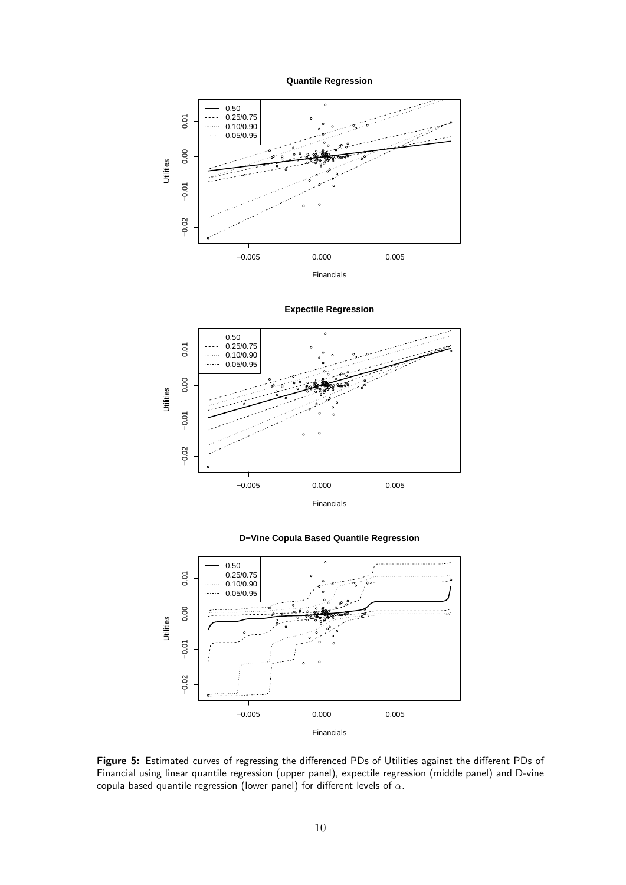

<span id="page-9-0"></span>

0.50 ●  $0.01$ 0.25/0.75 −0.02 −0.01 0.00 0.01 ● ● u. 0.10/0.90 ● ● ● 0.05/0.95 ● ● ● ● 0.00 ● ● ● ● ● ●● ● ● ● ● ●● ●● ● ● ● ● ●● ● ● ●● ● ● ● ● ● ●● ●● ● ●● ●● ● ● ● ● ● ● Utilities ● ●  $\frac{1}{20}$ ●  $\bullet_{\sf c}$ ● ● ● ৻ ● ● ● ● ● ● ●  $-0.01$ ●  $-0.02$ ● −0.005 0.000 0.005 Financials

**Expectile Regression**





Figure 5: Estimated curves of regressing the differenced PDs of Utilities against the different PDs of Financial using linear quantile regression (upper panel), expectile regression (middle panel) and D-vine copula based quantile regression (lower panel) for different levels of  $\alpha$ .

10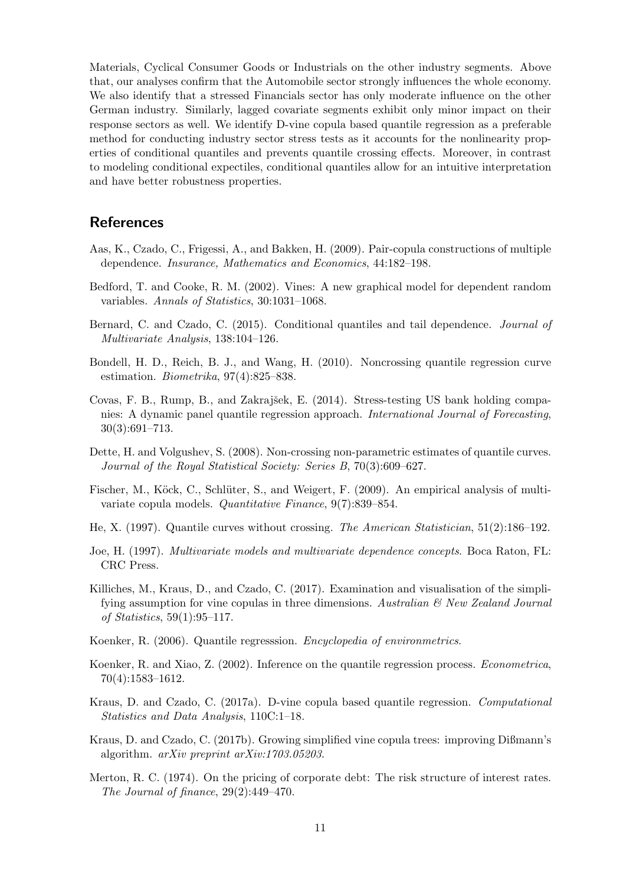Materials, Cyclical Consumer Goods or Industrials on the other industry segments. Above that, our analyses confirm that the Automobile sector strongly influences the whole economy. We also identify that a stressed Financials sector has only moderate influence on the other German industry. Similarly, lagged covariate segments exhibit only minor impact on their response sectors as well. We identify D-vine copula based quantile regression as a preferable method for conducting industry sector stress tests as it accounts for the nonlinearity properties of conditional quantiles and prevents quantile crossing effects. Moreover, in contrast to modeling conditional expectiles, conditional quantiles allow for an intuitive interpretation and have better robustness properties.

# References

- <span id="page-10-5"></span>Aas, K., Czado, C., Frigessi, A., and Bakken, H. (2009). Pair-copula constructions of multiple dependence. Insurance, Mathematics and Economics, 44:182–198.
- <span id="page-10-4"></span>Bedford, T. and Cooke, R. M. (2002). Vines: A new graphical model for dependent random variables. Annals of Statistics, 30:1031–1068.
- <span id="page-10-14"></span>Bernard, C. and Czado, C. (2015). Conditional quantiles and tail dependence. Journal of Multivariate Analysis, 138:104–126.
- <span id="page-10-13"></span>Bondell, H. D., Reich, B. J., and Wang, H. (2010). Noncrossing quantile regression curve estimation. Biometrika, 97(4):825–838.
- <span id="page-10-1"></span>Covas, F. B., Rump, B., and Zakrajšek, E. (2014). Stress-testing US bank holding companies: A dynamic panel quantile regression approach. International Journal of Forecasting, 30(3):691–713.
- <span id="page-10-12"></span>Dette, H. and Volgushev, S. (2008). Non-crossing non-parametric estimates of quantile curves. Journal of the Royal Statistical Society: Series B, 70(3):609–627.
- <span id="page-10-6"></span>Fischer, M., Köck, C., Schlüter, S., and Weigert, F. (2009). An empirical analysis of multivariate copula models. Quantitative Finance, 9(7):839–854.
- <span id="page-10-11"></span>He, X. (1997). Quantile curves without crossing. The American Statistician, 51(2):186–192.
- <span id="page-10-3"></span>Joe, H. (1997). Multivariate models and multivariate dependence concepts. Boca Raton, FL: CRC Press.
- <span id="page-10-7"></span>Killiches, M., Kraus, D., and Czado, C. (2017). Examination and visualisation of the simplifying assumption for vine copulas in three dimensions. Australian  $\mathcal C$  New Zealand Journal of Statistics, 59(1):95–117.
- <span id="page-10-10"></span>Koenker, R. (2006). Quantile regresssion. Encyclopedia of environmetrics.
- <span id="page-10-0"></span>Koenker, R. and Xiao, Z. (2002). Inference on the quantile regression process. Econometrica, 70(4):1583–1612.
- <span id="page-10-2"></span>Kraus, D. and Czado, C. (2017a). D-vine copula based quantile regression. Computational Statistics and Data Analysis, 110C:1–18.
- <span id="page-10-8"></span>Kraus, D. and Czado, C. (2017b). Growing simplified vine copula trees: improving Dißmann's algorithm. arXiv preprint arXiv:1703.05203.
- <span id="page-10-9"></span>Merton, R. C. (1974). On the pricing of corporate debt: The risk structure of interest rates. The Journal of finance, 29(2):449–470.